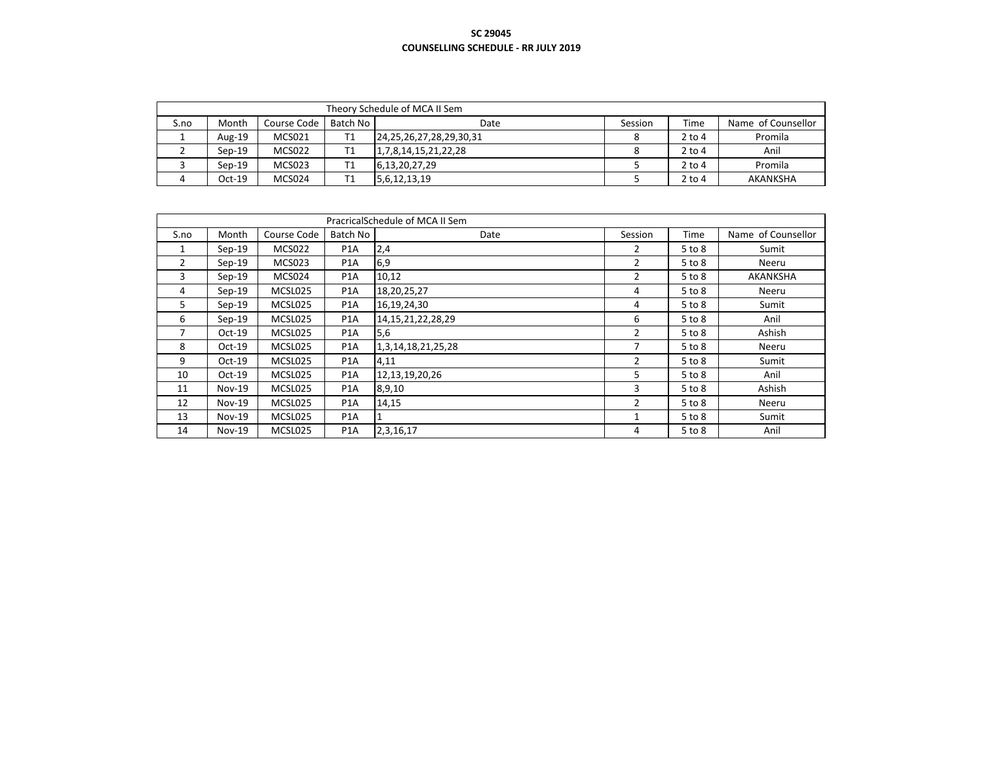|      | Theory Schedule of MCA II Sem |             |          |                                |         |          |                    |  |  |  |  |
|------|-------------------------------|-------------|----------|--------------------------------|---------|----------|--------------------|--|--|--|--|
| S.no | Month                         | Course Code | Batch No | Date                           | Session | Time     | Name of Counsellor |  |  |  |  |
|      | Aug-19                        | MCS021      |          | 24, 25, 26, 27, 28, 29, 30, 31 | 8       | $2$ to 4 | Promila            |  |  |  |  |
|      | $Sen-19$                      | MCS022      |          | 1,7,8,14,15,21,22,28           | 8       | $2$ to 4 | Anil               |  |  |  |  |
|      | $Sen-19$                      | MCS023      |          | 6,13,20,27,29                  |         | $2$ to 4 | Promila            |  |  |  |  |
|      | $Oct-19$                      | MCS024      |          | 5,6,12,13,19                   |         | $2$ to 4 | AKANKSHA           |  |  |  |  |

|                |          |               |                  | PracricalSchedule of MCA II Sem |         |            |                    |
|----------------|----------|---------------|------------------|---------------------------------|---------|------------|--------------------|
| S.no           | Month    | Course Code   | Batch No         | Date                            | Session | Time       | Name of Counsellor |
| 1              | $Sep-19$ | <b>MCS022</b> | P <sub>1</sub> A | 2,4                             | 2       | 5 to 8     | Sumit              |
| $\overline{2}$ | $Sep-19$ | <b>MCS023</b> | P <sub>1</sub> A | 6,9                             | 2       | $5$ to $8$ | Neeru              |
| 3              | $Sep-19$ | MCS024        | P <sub>1</sub> A | 10,12                           | 2       | 5 to 8     | AKANKSHA           |
| 4              | $Sep-19$ | MCSL025       | P <sub>1</sub> A | 18,20,25,27                     | 4       | $5$ to $8$ | Neeru              |
| 5              | $Sep-19$ | MCSL025       | P <sub>1</sub> A | 16,19,24,30                     | 4       | $5$ to $8$ | Sumit              |
| 6              | $Sep-19$ | MCSL025       | P <sub>1</sub> A | 14, 15, 21, 22, 28, 29          | 6       | $5$ to $8$ | Anil               |
| 7              | $Oct-19$ | MCSL025       | P <sub>1</sub> A | 5,6                             | 2       | $5$ to $8$ | Ashish             |
| 8              | $Oct-19$ | MCSL025       | P <sub>1</sub> A | 1,3,14,18,21,25,28              | 7       | $5$ to $8$ | Neeru              |
| 9              | $Oct-19$ | MCSL025       | P <sub>1</sub> A | 4,11                            | 2       | $5$ to $8$ | Sumit              |
| 10             | $Oct-19$ | MCSL025       | P <sub>1</sub> A | 12,13,19,20,26                  | 5       | $5$ to $8$ | Anil               |
| 11             | $Nov-19$ | MCSL025       | P <sub>1</sub> A | 8,9,10                          | 3       | $5$ to $8$ | Ashish             |
| 12             | $Nov-19$ | MCSL025       | P <sub>1</sub> A | 14,15                           | 2       | $5$ to $8$ | Neeru              |
| 13             | $Nov-19$ | MCSL025       | P <sub>1</sub> A |                                 | 1       | 5 to 8     | Sumit              |
| 14             | $Nov-19$ | MCSL025       | P <sub>1</sub> A | 2,3,16,17                       | 4       | 5 to 8     | Anil               |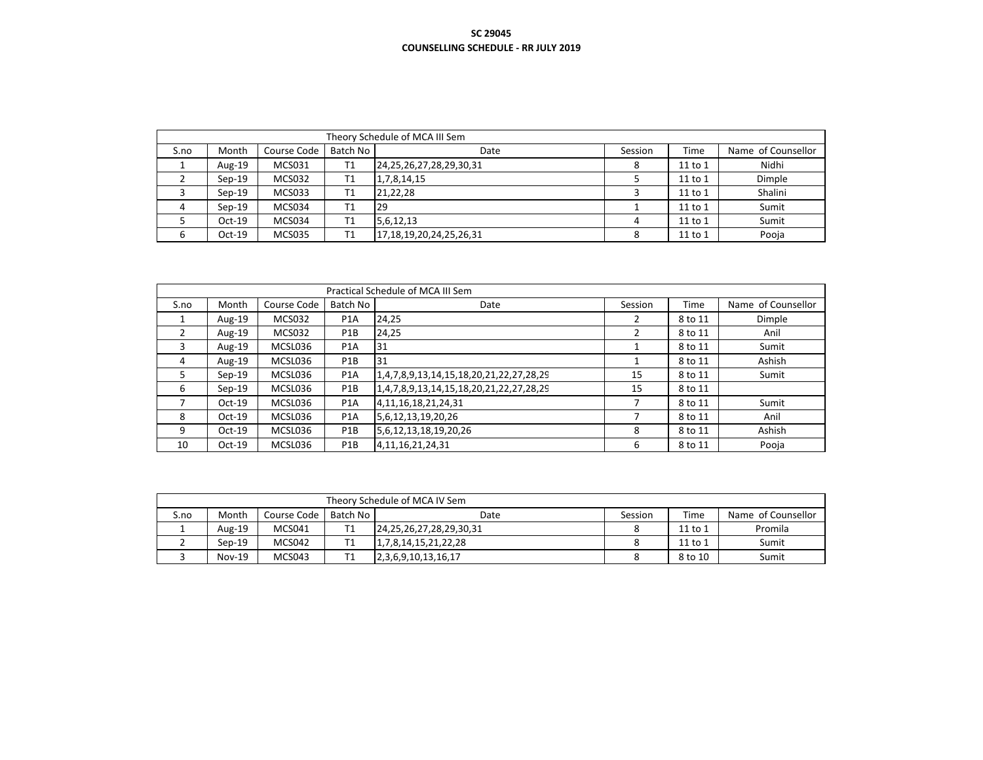|      | Theory Schedule of MCA III Sem |               |                |                                |         |         |                    |  |  |  |  |
|------|--------------------------------|---------------|----------------|--------------------------------|---------|---------|--------------------|--|--|--|--|
| S.no | Month                          | Course Code   | Batch No       | Date                           | Session | Time    | Name of Counsellor |  |  |  |  |
|      | Aug-19                         | MCS031        | T1             | 24, 25, 26, 27, 28, 29, 30, 31 | 8       | 11 to 1 | Nidhi              |  |  |  |  |
|      | $Sen-19$                       | MCS032        | T <sub>1</sub> | 1,7,8,14,15                    |         | 11 to 1 | Dimple             |  |  |  |  |
|      | $Sen-19$                       | MCS033        | T1             | 21,22,28                       |         | 11 to 1 | Shalini            |  |  |  |  |
| Δ    | $Sen-19$                       | MCS034        | T1             | 29                             |         | 11 to 1 | Sumit              |  |  |  |  |
|      | $Oct-19$                       | MCS034        | T1             | 5,6,12,13                      | 4       | 11 to 1 | Sumit              |  |  |  |  |
|      | $Oct-19$                       | <b>MCS035</b> | T1             | 17,18,19,20,24,25,26,31        | 8       | 11 to 1 | Pooja              |  |  |  |  |

|               |          |               |                  | Practical Schedule of MCA III Sem       |         |             |                    |
|---------------|----------|---------------|------------------|-----------------------------------------|---------|-------------|--------------------|
| S.no          | Month    | Course Code   | Batch No         | Date                                    | Session | <b>Time</b> | Name of Counsellor |
|               | Aug-19   | <b>MCS032</b> | P <sub>1</sub> A | 24,25                                   |         | 8 to 11     | Dimple             |
| $\mathcal{P}$ | Aug-19   | <b>MCS032</b> | P <sub>1</sub> B | 24,25                                   |         | 8 to 11     | Anil               |
| 3             | Aug-19   | MCSL036       | P <sub>1</sub> A | 31                                      |         | 8 to 11     | Sumit              |
| 4             | Aug-19   | MCSL036       | P <sub>1</sub> B | 31                                      |         | 8 to 11     | Ashish             |
| 5.            | $Sep-19$ | MCSL036       | P <sub>1</sub> A | 1,4,7,8,9,13,14,15,18,20,21,22,27,28,29 | 15      | 8 to 11     | Sumit              |
| 6             | $Sep-19$ | MCSL036       | P <sub>1</sub> B | 1,4,7,8,9,13,14,15,18,20,21,22,27,28,29 | 15      | 8 to 11     |                    |
|               | $Oct-19$ | MCSL036       | P <sub>1</sub> A | 4, 11, 16, 18, 21, 24, 31               |         | 8 to 11     | Sumit              |
| 8             | $Oct-19$ | MCSL036       | P <sub>1</sub> A | 5,6,12,13,19,20,26                      |         | 8 to 11     | Anil               |
| 9             | $Oct-19$ | MCSL036       | P <sub>1</sub> B | 5,6,12,13,18,19,20,26                   | 8       | 8 to 11     | Ashish             |
| 10            | $Oct-19$ | MCSL036       | P <sub>1</sub> B | 4, 11, 16, 21, 24, 31                   | 6       | 8 to 11     | Pooja              |

|      | Theory Schedule of MCA IV Sem |             |          |                                |         |         |                    |  |  |  |  |
|------|-------------------------------|-------------|----------|--------------------------------|---------|---------|--------------------|--|--|--|--|
| S.no | Month                         | Course Code | Batch No | Date                           | Session | Time    | Name of Counsellor |  |  |  |  |
|      | Aug-19                        | MCS041      |          | 24, 25, 26, 27, 28, 29, 30, 31 |         | 11 to 1 | Promila            |  |  |  |  |
|      | $Sen-19$                      | MCS042      |          | 1,7,8,14,15,21,22,28           |         | 11 to 1 | Sumit              |  |  |  |  |
|      | $Nov-19$                      | MCS043      |          | 2, 3, 6, 9, 10, 13, 16, 17     |         | 8 to 10 | Sumit              |  |  |  |  |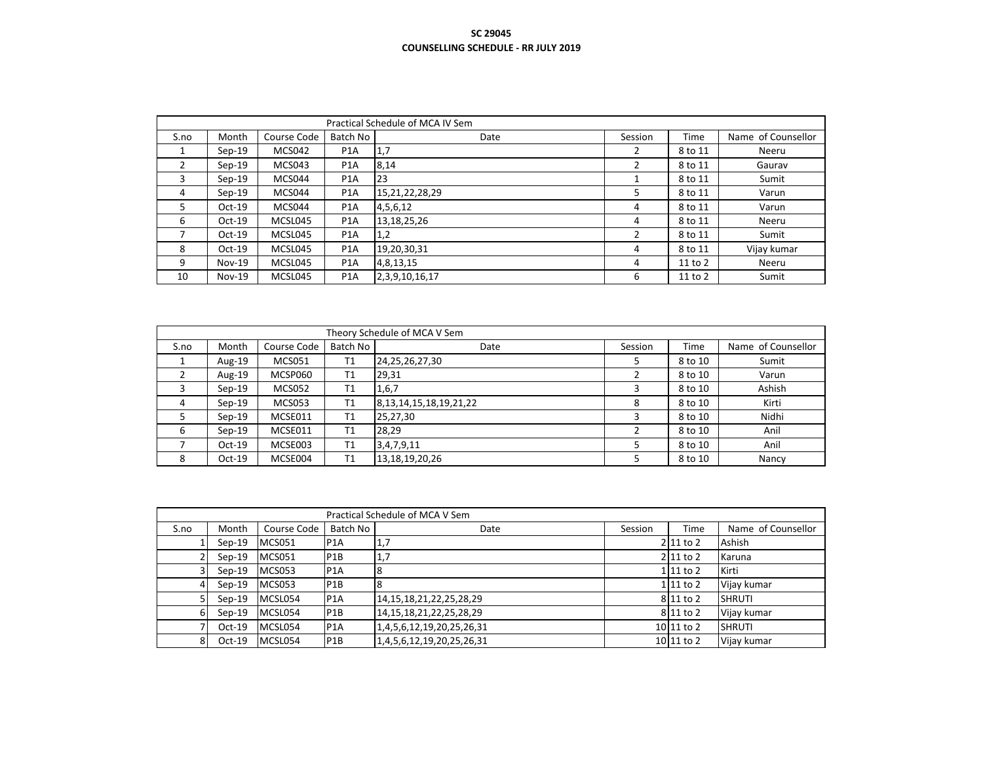|      |          |             |                  | Practical Schedule of MCA IV Sem |         |             |                    |
|------|----------|-------------|------------------|----------------------------------|---------|-------------|--------------------|
| S.no | Month    | Course Code | Batch No         | Date                             | Session | <b>Time</b> | Name of Counsellor |
| л.   | $Sep-19$ | MCS042      | P <sub>1</sub> A | 1,7                              | 2       | 8 to 11     | Neeru              |
| 2    | $Sep-19$ | MCS043      | P <sub>1</sub> A | 8,14                             |         | 8 to 11     | Gaurav             |
| 3    | $Sep-19$ | MCS044      | P <sub>1</sub> A | 23                               |         | 8 to 11     | Sumit              |
| 4    | $Sep-19$ | MCS044      | P <sub>1</sub> A | 15,21,22,28,29                   | 5       | 8 to 11     | Varun              |
| 5.   | $Oct-19$ | MCS044      | P <sub>1</sub> A | 4,5,6,12                         | 4       | 8 to 11     | Varun              |
| 6    | $Oct-19$ | MCSL045     | P <sub>1</sub> A | 13, 18, 25, 26                   | 4       | 8 to 11     | Neeru              |
|      | $Oct-19$ | MCSL045     | P <sub>1</sub> A | 1,2                              |         | 8 to 11     | Sumit              |
| 8    | $Oct-19$ | MCSL045     | P <sub>1</sub> A | 19,20,30,31                      | 4       | 8 to 11     | Vijay kumar        |
| 9    | $Nov-19$ | MCSL045     | P <sub>1</sub> A | 4,8,13,15                        | 4       | 11 to 2     | Neeru              |
| 10   | $Nov-19$ | MCSL045     | P <sub>1</sub> A | 2,3,9,10,16,17                   | 6       | 11 to 2     | Sumit              |

|      | Theory Schedule of MCA V Sem |               |          |                               |         |         |                    |  |  |  |  |  |
|------|------------------------------|---------------|----------|-------------------------------|---------|---------|--------------------|--|--|--|--|--|
| S.no | Month                        | Course Code   | Batch No | Date                          | Session | Time    | Name of Counsellor |  |  |  |  |  |
|      | Aug-19                       | <b>MCS051</b> | T1       | 24,25,26,27,30                |         | 8 to 10 | Sumit              |  |  |  |  |  |
|      | Aug-19                       | MCSP060       | T1       | 29,31                         |         | 8 to 10 | Varun              |  |  |  |  |  |
| 3    | $Sep-19$                     | <b>MCS052</b> | T1       | 1,6,7                         |         | 8 to 10 | Ashish             |  |  |  |  |  |
| 4    | $Sep-19$                     | MCS053        | T1       | 8, 13, 14, 15, 18, 19, 21, 22 | 8       | 8 to 10 | Kirti              |  |  |  |  |  |
|      | $Sen-19$                     | MCSE011       | T1       | 25,27,30                      |         | 8 to 10 | Nidhi              |  |  |  |  |  |
| 6    | $Sep-19$                     | MCSE011       | T1       | 28,29                         |         | 8 to 10 | Anil               |  |  |  |  |  |
|      | $Oct-19$                     | MCSE003       | T1       | 3,4,7,9,11                    |         | 8 to 10 | Anil               |  |  |  |  |  |
| 8    | $Oct-19$                     | MCSE004       | T1       | 13,18,19,20,26                |         | 8 to 10 | Nancy              |  |  |  |  |  |

|      | Practical Schedule of MCA V Sem |               |                  |                                |         |                  |                    |  |  |  |  |
|------|---------------------------------|---------------|------------------|--------------------------------|---------|------------------|--------------------|--|--|--|--|
| S.no | Month                           | Course Code   | Batch No         | Date                           | Session | Time             | Name of Counsellor |  |  |  |  |
|      | $Sep-19$                        | <b>MCS051</b> | <b>P1A</b>       | 1,7                            |         | $2$   11 to 2    | Ashish             |  |  |  |  |
|      | $Sep-19$                        | <b>MCS051</b> | P <sub>1</sub> B | 1,7                            |         | $2$   11 to 2    | Karuna             |  |  |  |  |
|      | $Sep-19$                        | <b>MCS053</b> | P <sub>1</sub> A | 8                              |         | $1\vert 11$ to 2 | Kirti              |  |  |  |  |
|      | $Sep-19$                        | <b>MCS053</b> | P1B              | 8                              |         | $1\vert 11$ to 2 | Vijay kumar        |  |  |  |  |
|      | $Sep-19$                        | MCSL054       | <b>P1A</b>       | 14, 15, 18, 21, 22, 25, 28, 29 |         | 8 11 to 2        | <b>SHRUTI</b>      |  |  |  |  |
| 6    | $Sep-19$                        | MCSL054       | P1B              | 14, 15, 18, 21, 22, 25, 28, 29 |         | 8 11 to 2        | Vijay kumar        |  |  |  |  |
|      | $Oct-19$                        | MCSL054       | P1A              | 1,4,5,6,12,19,20,25,26,31      |         | $10 11$ to 2     | <b>SHRUTI</b>      |  |  |  |  |
| 8    | $Oct-19$                        | MCSL054       | P <sub>1</sub> B | 1,4,5,6,12,19,20,25,26,31      |         | 10 11 to 2       | Vijay kumar        |  |  |  |  |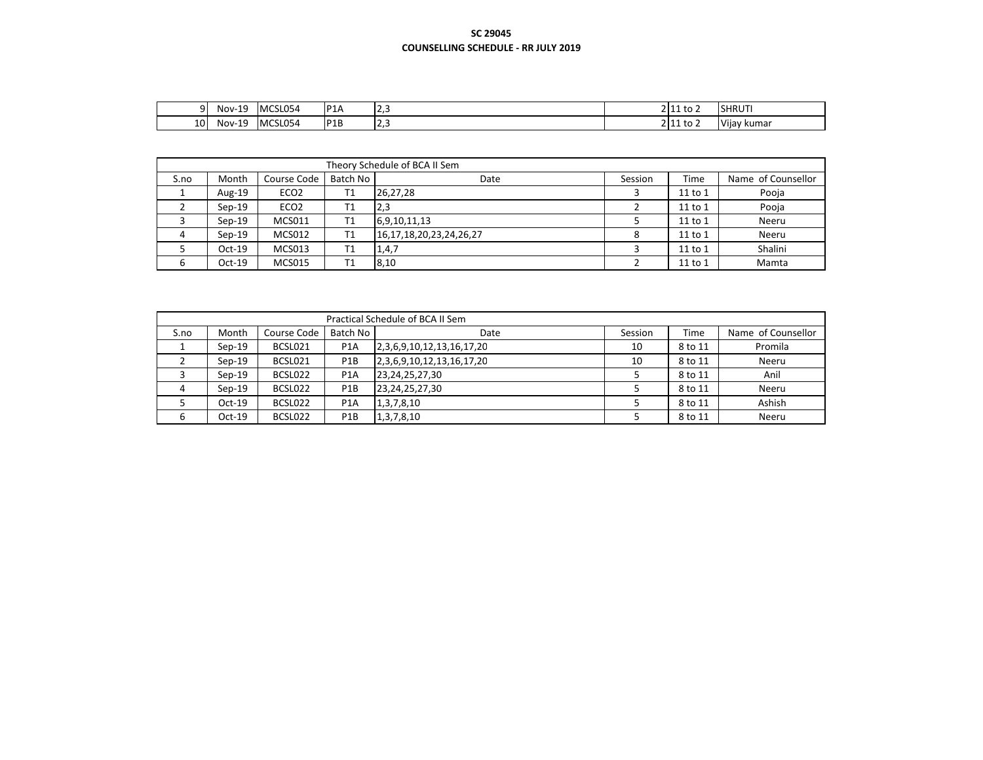|                               | . .<br>Nov-<br>--- | MCSL054 | P <sub>1</sub> A | ب رے | 2144.1<br>$2 11$ to | <b>SHRUTI</b> |
|-------------------------------|--------------------|---------|------------------|------|---------------------|---------------|
| $\overline{\phantom{a}}$<br>ᆚ | Nov-<br>---        | MCSL054 | P <sub>1B</sub>  | ب رے | $2$   11 to 2       | Vijay kumar   |

|      | Theory Schedule of BCA II Sem |                  |                |                                |         |             |                    |  |  |  |  |  |
|------|-------------------------------|------------------|----------------|--------------------------------|---------|-------------|--------------------|--|--|--|--|--|
| S.no | Month                         | Course Code      | Batch No       | Date                           | Session | <b>Time</b> | Name of Counsellor |  |  |  |  |  |
|      | Aug-19                        | ECO <sub>2</sub> | Τ1             | 26,27,28                       |         | 11 to 1     | Pooja              |  |  |  |  |  |
|      | $Sen-19$                      | ECO <sub>2</sub> | Τ1             | 2,3                            |         | 11 to 1     | Pooja              |  |  |  |  |  |
|      | $Sen-19$                      | MCS011           | T1             | 6,9,10,11,13                   |         | 11 to 1     | Neeru              |  |  |  |  |  |
|      | $Sen-19$                      | MCS012           | T1             | 16, 17, 18, 20, 23, 24, 26, 27 |         | 11 to 1     | Neeru              |  |  |  |  |  |
|      | $Oct-19$                      | MCS013           | T1             | 1,4,7                          |         | 11 to 1     | Shalini            |  |  |  |  |  |
| b    | $Oct-19$                      | <b>MCS015</b>    | T <sub>1</sub> | 8,10                           |         | 11 to 1     | Mamta              |  |  |  |  |  |

|      | Practical Schedule of BCA II Sem |             |                  |                           |         |         |                    |  |  |  |  |
|------|----------------------------------|-------------|------------------|---------------------------|---------|---------|--------------------|--|--|--|--|
| S.no | Month                            | Course Code | Batch No         | Date                      | Session | Time    | Name of Counsellor |  |  |  |  |
|      | $Sen-19$                         | BCSL021     | P <sub>1</sub> A | 2,3,6,9,10,12,13,16,17,20 | 10      | 8 to 11 | Promila            |  |  |  |  |
|      | $Sen-19$                         | BCSL021     | P <sub>1</sub> B | 2,3,6,9,10,12,13,16,17,20 | 10      | 8 to 11 | Neeru              |  |  |  |  |
|      | $Sen-19$                         | BCSL022     | P <sub>1</sub> A | 23,24,25,27,30            |         | 8 to 11 | Anil               |  |  |  |  |
|      | $Sen-19$                         | BCSL022     | P <sub>1</sub> B | 23,24,25,27,30            |         | 8 to 11 | Neeru              |  |  |  |  |
|      | $Oct-19$                         | BCSL022     | P <sub>1</sub> A | 1,3,7,8,10                |         | 8 to 11 | Ashish             |  |  |  |  |
|      | $Oct-19$                         | BCSL022     | P <sub>1</sub> B | 1,3,7,8,10                |         | 8 to 11 | Neeru              |  |  |  |  |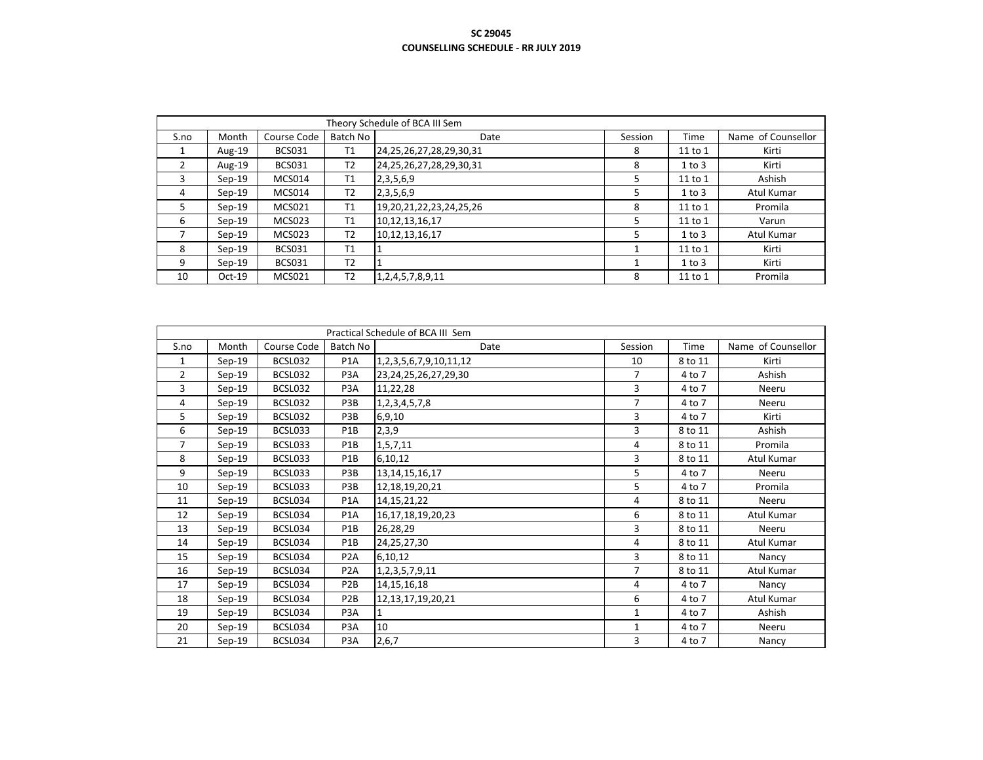|      |          |               |                | Theory Schedule of BCA III Sem |         |            |                    |
|------|----------|---------------|----------------|--------------------------------|---------|------------|--------------------|
| S.no | Month    | Course Code   | Batch No       | Date                           | Session | Time       | Name of Counsellor |
|      | Aug-19   | <b>BCS031</b> | T1             | 24, 25, 26, 27, 28, 29, 30, 31 | 8       | 11 to 1    | Kirti              |
|      | Aug-19   | <b>BCS031</b> | T <sub>2</sub> | 24, 25, 26, 27, 28, 29, 30, 31 | 8       | $1$ to $3$ | Kirti              |
| 3    | $Sep-19$ | MCS014        | T1             | 2, 3, 5, 6, 9                  | 5       | 11 to 1    | Ashish             |
| 4    | $Sep-19$ | MCS014        | T <sub>2</sub> | 2, 3, 5, 6, 9                  | 5       | $1$ to $3$ | Atul Kumar         |
| 5.   | $Sep-19$ | <b>MCS021</b> | T1             | 19, 20, 21, 22, 23, 24, 25, 26 | 8       | 11 to 1    | Promila            |
| 6    | $Sep-19$ | <b>MCS023</b> | T1             | 10,12,13,16,17                 | 5       | 11 to 1    | Varun              |
|      | $Sep-19$ | <b>MCS023</b> | T <sub>2</sub> | 10,12,13,16,17                 | 5       | $1$ to $3$ | Atul Kumar         |
| 8    | $Sep-19$ | <b>BCS031</b> | T1             |                                |         | 11 to 1    | Kirti              |
| 9    | $Sep-19$ | <b>BCS031</b> | T <sub>2</sub> |                                |         | $1$ to $3$ | Kirti              |
| 10   | $Oct-19$ | <b>MCS021</b> | T <sub>2</sub> | 1, 2, 4, 5, 7, 8, 9, 11        | 8       | 11 to 1    | Promila            |

|                |          |             |                  | Practical Schedule of BCA III Sem |                |         |                    |
|----------------|----------|-------------|------------------|-----------------------------------|----------------|---------|--------------------|
| S.no           | Month    | Course Code | Batch No         | Date                              | Session        | Time    | Name of Counsellor |
| 1              | $Sep-19$ | BCSL032     | P <sub>1</sub> A | 1, 2, 3, 5, 6, 7, 9, 10, 11, 12   | 10             | 8 to 11 | Kirti              |
| $\overline{2}$ | $Sep-19$ | BCSL032     | P3A              | 23, 24, 25, 26, 27, 29, 30        | 7              | 4 to 7  | Ashish             |
| 3              | $Sep-19$ | BCSL032     | P3A              | 11,22,28                          | 3              | 4 to 7  | Neeru              |
| 4              | $Sep-19$ | BCSL032     | P <sub>3</sub> B | 1,2,3,4,5,7,8                     | $\overline{7}$ | 4 to 7  | Neeru              |
| 5              | $Sep-19$ | BCSL032     | P3B              | 6,9,10                            | 3              | 4 to 7  | Kirti              |
| 6              | $Sep-19$ | BCSL033     | P1B              | 2,3,9                             | 3              | 8 to 11 | Ashish             |
| 7              | $Sep-19$ | BCSL033     | P1B              | 1, 5, 7, 11                       | 4              | 8 to 11 | Promila            |
| 8              | $Sep-19$ | BCSL033     | P1B              | 6,10,12                           | 3              | 8 to 11 | Atul Kumar         |
| 9              | $Sep-19$ | BCSL033     | P3B              | 13, 14, 15, 16, 17                | 5              | 4 to 7  | Neeru              |
| 10             | $Sep-19$ | BCSL033     | P3B              | 12, 18, 19, 20, 21                | 5              | 4 to 7  | Promila            |
| 11             | $Sep-19$ | BCSL034     | P <sub>1</sub> A | 14, 15, 21, 22                    | 4              | 8 to 11 | Neeru              |
| 12             | $Sep-19$ | BCSL034     | P <sub>1</sub> A | 16, 17, 18, 19, 20, 23            | 6              | 8 to 11 | Atul Kumar         |
| 13             | $Sep-19$ | BCSL034     | P1B              | 26,28,29                          | 3              | 8 to 11 | Neeru              |
| 14             | $Sep-19$ | BCSL034     | P <sub>1</sub> B | 24,25,27,30                       | 4              | 8 to 11 | Atul Kumar         |
| 15             | $Sep-19$ | BCSL034     | P <sub>2</sub> A | 6,10,12                           | 3              | 8 to 11 | Nancy              |
| 16             | $Sep-19$ | BCSL034     | P <sub>2</sub> A | 1,2,3,5,7,9,11                    | 7              | 8 to 11 | Atul Kumar         |
| 17             | $Sep-19$ | BCSL034     | P <sub>2</sub> B | 14, 15, 16, 18                    | 4              | 4 to 7  | Nancy              |
| 18             | $Sep-19$ | BCSL034     | P <sub>2</sub> B | 12, 13, 17, 19, 20, 21            | 6              | 4 to 7  | Atul Kumar         |
| 19             | $Sep-19$ | BCSL034     | P3A              | $\mathbf{1}$                      | $\mathbf{1}$   | 4 to 7  | Ashish             |
| 20             | $Sep-19$ | BCSL034     | P <sub>3</sub> A | 10                                | $\mathbf{1}$   | 4 to 7  | Neeru              |
| 21             | $Sep-19$ | BCSL034     | P <sub>3</sub> A | 2,6,7                             | 3              | 4 to 7  | Nancy              |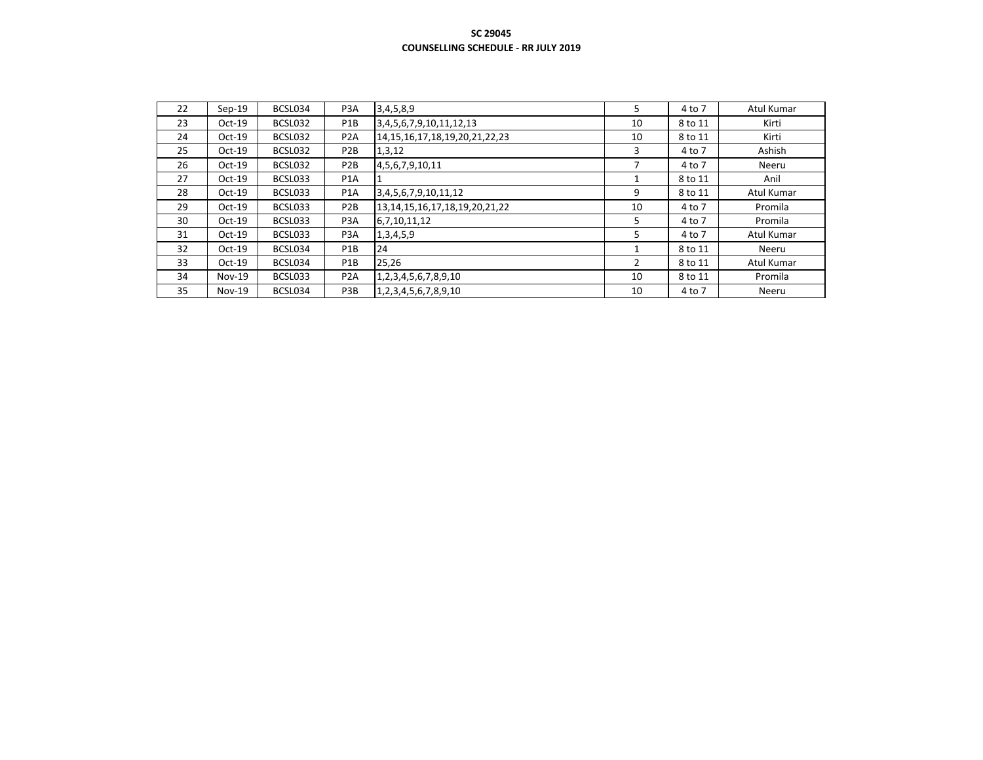| 22 | $Sep-19$ | BCSL034 | P <sub>3</sub> A | 3,4,5,8,9                              | 5              | 4 to 7  | Atul Kumar |
|----|----------|---------|------------------|----------------------------------------|----------------|---------|------------|
| 23 | $Oct-19$ | BCSL032 | P <sub>1</sub> B | 3, 4, 5, 6, 7, 9, 10, 11, 12, 13       | 10             | 8 to 11 | Kirti      |
| 24 | $Oct-19$ | BCSL032 | P <sub>2</sub> A | 14, 15, 16, 17, 18, 19, 20, 21, 22, 23 | 10             | 8 to 11 | Kirti      |
| 25 | $Oct-19$ | BCSL032 | P <sub>2</sub> B | 1,3,12                                 | 3              | 4 to 7  | Ashish     |
| 26 | $Oct-19$ | BCSL032 | P <sub>2</sub> B | 4,5,6,7,9,10,11                        | 7              | 4 to 7  | Neeru      |
| 27 | $Oct-19$ | BCSL033 | P <sub>1</sub> A |                                        |                | 8 to 11 | Anil       |
| 28 | $Oct-19$ | BCSL033 | P <sub>1</sub> A | 3,4,5,6,7,9,10,11,12                   | 9              | 8 to 11 | Atul Kumar |
| 29 | $Oct-19$ | BCSL033 | P <sub>2</sub> B | 13, 14, 15, 16, 17, 18, 19, 20, 21, 22 | 10             | 4 to 7  | Promila    |
| 30 | $Oct-19$ | BCSL033 | P3A              | 6,7,10,11,12                           | 5              | 4 to 7  | Promila    |
| 31 | $Oct-19$ | BCSL033 | P <sub>3</sub> A | 1,3,4,5,9                              | 5.             | 4 to 7  | Atul Kumar |
| 32 | $Oct-19$ | BCSL034 | P <sub>1</sub> B | 24                                     | 1              | 8 to 11 | Neeru      |
| 33 | $Oct-19$ | BCSL034 | P1B              | 25,26                                  | $\overline{2}$ | 8 to 11 | Atul Kumar |
| 34 | $Nov-19$ | BCSL033 | P <sub>2</sub> A | 1,2,3,4,5,6,7,8,9,10                   | 10             | 8 to 11 | Promila    |
| 35 | $Nov-19$ | BCSL034 | P3B              | 1,2,3,4,5,6,7,8,9,10                   | 10             | 4 to 7  | Neeru      |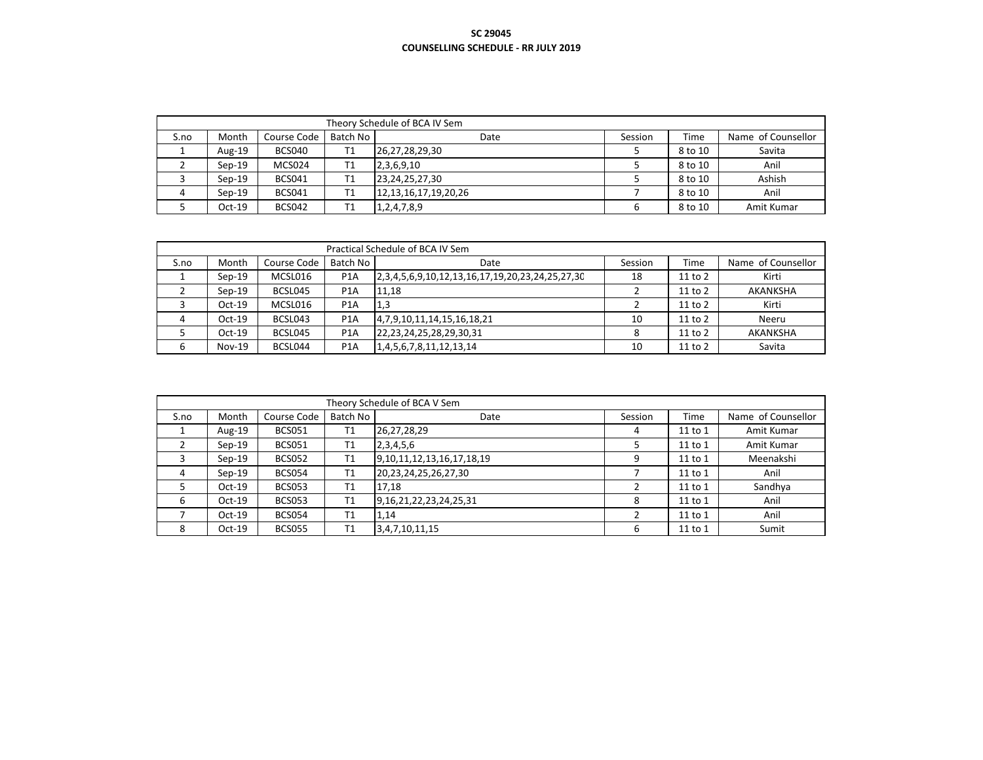|      | Theory Schedule of BCA IV Sem |               |          |                            |         |         |                    |  |  |  |  |
|------|-------------------------------|---------------|----------|----------------------------|---------|---------|--------------------|--|--|--|--|
| S.no | Month                         | Course Code   | Batch No | Date                       | Session | Time    | Name of Counsellor |  |  |  |  |
|      | Aug-19                        | <b>BCS040</b> | T1       | 26,27,28,29,30             |         | 8 to 10 | Savita             |  |  |  |  |
|      | $Sen-19$                      | MCS024        | T1       | 2,3,6,9,10                 |         | 8 to 10 | Anil               |  |  |  |  |
|      | $Sen-19$                      | <b>BCS041</b> | T1       | 23,24,25,27,30             |         | 8 to 10 | Ashish             |  |  |  |  |
|      | $Sen-19$                      | <b>BCS041</b> | T1       | 12, 13, 16, 17, 19, 20, 26 |         | 8 to 10 | Anil               |  |  |  |  |
|      | $Oct-19$                      | <b>BCS042</b> | Τ1       | 1,2,4,7,8,9                | 6       | 8 to 10 | Amit Kumar         |  |  |  |  |

|      | Practical Schedule of BCA IV Sem |             |                  |                                                                  |         |             |                    |  |  |  |  |  |
|------|----------------------------------|-------------|------------------|------------------------------------------------------------------|---------|-------------|--------------------|--|--|--|--|--|
| S.no | Month                            | Course Code | Batch No         | Date                                                             | Session | Time        | Name of Counsellor |  |  |  |  |  |
|      | $Sen-19$                         | MCSL016     | P <sub>1</sub> A | 2, 3, 4, 5, 6, 9, 10, 12, 13, 16, 17, 19, 20, 23, 24, 25, 27, 30 | 18      | $11$ to $2$ | Kirti              |  |  |  |  |  |
|      | $Sen-19$                         | BCSL045     | P <sub>1</sub> A | 11,18                                                            |         | 11 to 2     | AKANKSHA           |  |  |  |  |  |
|      | $Oct-19$                         | MCSL016     | P <sub>1</sub> A | 1,3                                                              |         | 11 to 2     | Kirti              |  |  |  |  |  |
|      | $Oct-19$                         | BCSL043     | P <sub>1</sub> A | 4,7,9,10,11,14,15,16,18,21                                       | 10      | $11$ to $2$ | Neeru              |  |  |  |  |  |
|      | $Oct-19$                         | BCSL045     | P <sub>1</sub> A | 22, 23, 24, 25, 28, 29, 30, 31                                   |         | $11$ to $2$ | AKANKSHA           |  |  |  |  |  |
| 6    | $Nov-19$                         | BCSL044     | P <sub>1</sub> A | 1,4,5,6,7,8,11,12,13,14                                          | 10      | $11$ to $2$ | Savita             |  |  |  |  |  |

|      |          |               |                | Theory Schedule of BCA V Sem      |         |         |                    |
|------|----------|---------------|----------------|-----------------------------------|---------|---------|--------------------|
| S.no | Month    | Course Code   | Batch No       | Date                              | Session | Time    | Name of Counsellor |
|      | Aug-19   | <b>BCS051</b> | Τ1             | 26,27,28,29                       | 4       | 11 to 1 | Amit Kumar         |
|      | $Sep-19$ | <b>BCS051</b> | T1             | 2,3,4,5,6                         |         | 11 to 1 | Amit Kumar         |
|      | $Sep-19$ | <b>BCS052</b> | T1             | 9, 10, 11, 12, 13, 16, 17, 18, 19 | 9       | 11 to 1 | Meenakshi          |
| 4    | $Sep-19$ | <b>BCS054</b> | T <sub>1</sub> | 20, 23, 24, 25, 26, 27, 30        |         | 11 to 1 | Anil               |
|      | $Oct-19$ | <b>BCS053</b> | Τ1             | 17,18                             |         | 11 to 1 | Sandhya            |
| 6    | $Oct-19$ | <b>BCS053</b> | T1             | 9,16,21,22,23,24,25,31            | 8       | 11 to 1 | Anil               |
|      | $Oct-19$ | <b>BCS054</b> | T1             | 1,14                              |         | 11 to 1 | Anil               |
| 8    | $Oct-19$ | <b>BCS055</b> | Τ1             | 3,4,7,10,11,15                    | 6       | 11 to 1 | Sumit              |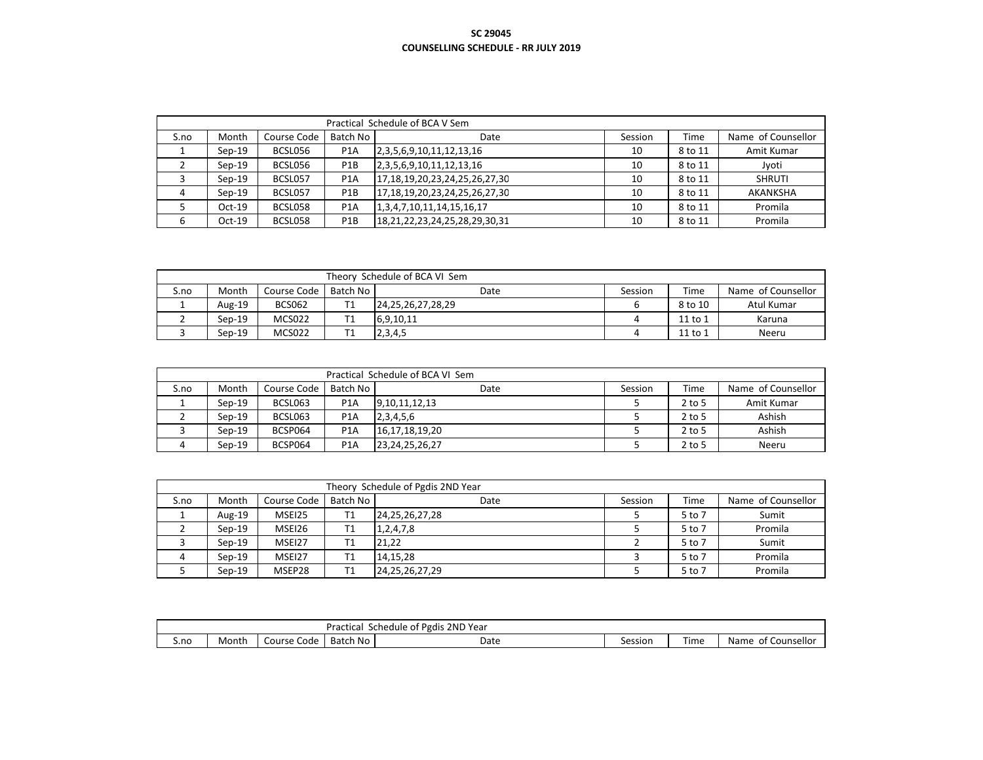|      | Practical Schedule of BCA V Sem |             |                  |                                    |         |             |                    |  |  |  |  |
|------|---------------------------------|-------------|------------------|------------------------------------|---------|-------------|--------------------|--|--|--|--|
| S.no | Month                           | Course Code | Batch No         | Date                               | Session | <b>Time</b> | Name of Counsellor |  |  |  |  |
|      | $Sen-19$                        | BCSL056     | P <sub>1</sub> A | 2,3,5,6,9,10,11,12,13,16           | 10      | 8 to 11     | Amit Kumar         |  |  |  |  |
|      | $Sen-19$                        | BCSL056     | P <sub>1</sub> B | 2, 3, 5, 6, 9, 10, 11, 12, 13, 16  | 10      | 8 to 11     | Jyoti              |  |  |  |  |
|      | $Sep-19$                        | BCSL057     | P <sub>1</sub> A | 17,18,19,20,23,24,25,26,27,30      | 10      | 8 to 11     | SHRUTI             |  |  |  |  |
| 4    | $Sen-19$                        | BCSL057     | P <sub>1</sub> B | 17,18,19,20,23,24,25,26,27,30      | 10      | 8 to 11     | AKANKSHA           |  |  |  |  |
|      | $Oct-19$                        | BCSL058     | P <sub>1</sub> A | 1, 3, 4, 7, 10, 11, 14, 15, 16, 17 | 10      | 8 to 11     | Promila            |  |  |  |  |
|      | $Oct-19$                        | BCSL058     | P <sub>1</sub> B | 18,21,22,23,24,25,28,29,30,31      | 10      | 8 to 11     | Promila            |  |  |  |  |

|      | Theory Schedule of BCA VI Sem |               |          |                        |         |         |                    |  |  |  |  |
|------|-------------------------------|---------------|----------|------------------------|---------|---------|--------------------|--|--|--|--|
| S.no | Month                         | Course Code   | Batch No | Date                   | Session | Time    | Name of Counsellor |  |  |  |  |
|      | Aug-19                        | <b>BCS062</b> |          | 24, 25, 26, 27, 28, 29 |         | 8 to 10 | Atul Kumar         |  |  |  |  |
|      | $Sen-19$                      | MCS022        |          | 6,9,10,11              |         | 11 to 1 | Karuna             |  |  |  |  |
|      | $Sen-19$                      | MCS022        |          | 2,3,4,5                |         | 11 to 1 | Neeru              |  |  |  |  |

|      | Practical Schedule of BCA VI Sem |             |                  |                    |         |          |                    |  |  |  |  |  |
|------|----------------------------------|-------------|------------------|--------------------|---------|----------|--------------------|--|--|--|--|--|
| S.no | Month                            | Course Code | Batch No         | Date               | Session | Time     | Name of Counsellor |  |  |  |  |  |
|      | $Sen-19$                         | BCSL063     | P <sub>1</sub> A | 9,10,11,12,13      |         | $2$ to 5 | Amit Kumar         |  |  |  |  |  |
|      | $Sen-19$                         | BCSL063     | P <sub>1</sub> A | 2,3,4,5,6          |         | $2$ to 5 | Ashish             |  |  |  |  |  |
|      | $Sen-19$                         | BCSP064     | P <sub>1</sub> A | 16,17,18,19,20     |         | $2$ to 5 | Ashish             |  |  |  |  |  |
|      | $Sen-19$                         | BCSP064     | P <sub>1</sub> A | 23, 24, 25, 26, 27 |         | $2$ to 5 | Neeru              |  |  |  |  |  |

|      | Theory Schedule of Pgdis 2ND Year |             |          |                    |         |        |                    |  |  |  |  |  |
|------|-----------------------------------|-------------|----------|--------------------|---------|--------|--------------------|--|--|--|--|--|
| S.no | Month                             | Course Code | Batch No | Date               | Session | Time   | Name of Counsellor |  |  |  |  |  |
|      | Aug-19                            | MSEI25      |          | 24, 25, 26, 27, 28 |         | 5 to 7 | Sumit              |  |  |  |  |  |
|      | $Sen-19$                          | MSEI26      | Τ1       | 1,2,4,7,8          |         | 5 to 7 | Promila            |  |  |  |  |  |
|      | $Sen-19$                          | MSEI27      |          | 21,22              |         | 5 to 7 | Sumit              |  |  |  |  |  |
|      | $Sen-19$                          | MSEI27      |          | 14.15.28           |         | 5 to 7 | Promila            |  |  |  |  |  |
|      | $Sen-19$                          | MSEP28      |          | 24, 25, 26, 27, 29 |         | 5 to 7 | Promila            |  |  |  |  |  |

|      | i Pgdis 2ND Year<br>Practical<br>Schedule<br>0t |                  |             |      |         |            |                                   |  |  |
|------|-------------------------------------------------|------------------|-------------|------|---------|------------|-----------------------------------|--|--|
| S.no | Month                                           | . Code<br>Iourse | No<br>Batch | Date | Session | --<br>Time | Counsellor<br><b>Name</b><br>∴ot⊺ |  |  |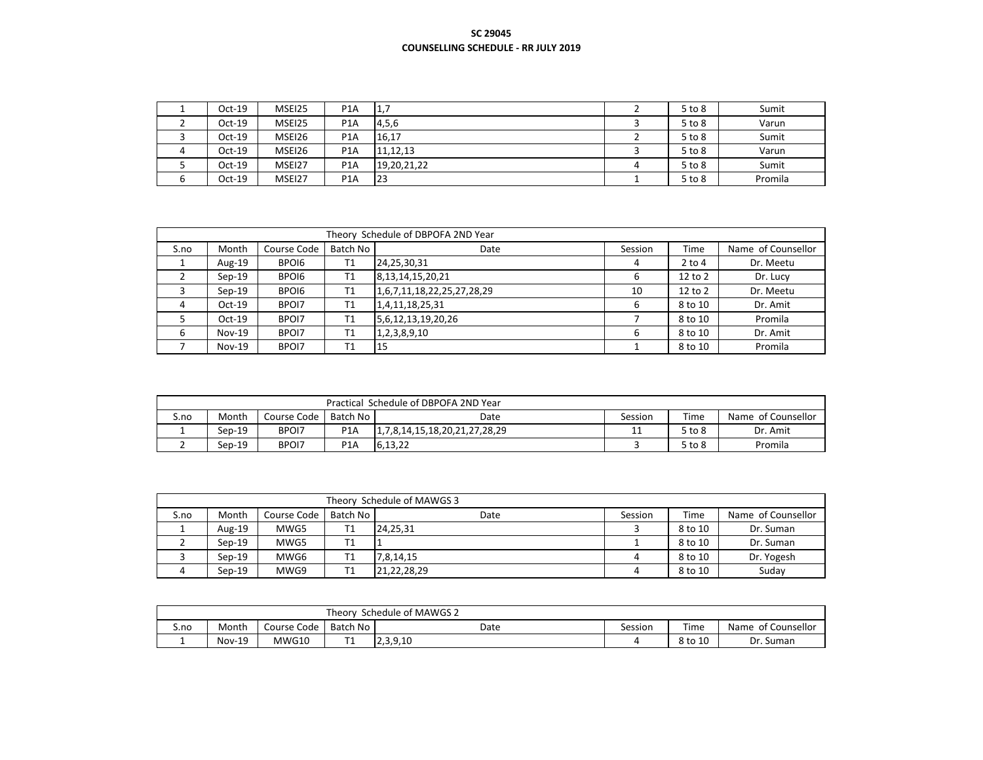| $Oct-19$ | MSEI25 | P <sub>1</sub> A |             |   | $5$ to $8$ | Sumit   |
|----------|--------|------------------|-------------|---|------------|---------|
| $Oct-19$ | MSEI25 | P <sub>1</sub> A | 4,5,6       |   | 5 to 8     | Varun   |
| $Oct-19$ | MSEI26 | P <sub>1</sub> A | 16,17       |   | 5 to 8     | Sumit   |
| $Oct-19$ | MSEI26 | P <sub>1</sub> A | 11,12,13    |   | 5 to 8     | Varun   |
| $Oct-19$ | MSEI27 | P <sub>1</sub> A | 19,20,21,22 | 4 | 5 to 8     | Sumit   |
| $Oct-19$ | MSEI27 | P <sub>1</sub> A | 123         |   | $5$ to $8$ | Promila |

|      | Theory Schedule of DBPOFA 2ND Year |             |                |                            |         |            |                    |  |  |  |  |  |
|------|------------------------------------|-------------|----------------|----------------------------|---------|------------|--------------------|--|--|--|--|--|
| S.no | Month                              | Course Code | Batch No       | Date                       | Session | Time       | Name of Counsellor |  |  |  |  |  |
|      | Aug-19                             | BPOI6       | T <sub>1</sub> | 24,25,30,31                | 4       | $2$ to $4$ | Dr. Meetu          |  |  |  |  |  |
|      | $Sep-19$                           | BPOI6       | T <sub>1</sub> | 8, 13, 14, 15, 20, 21      | 6       | 12 to 2    | Dr. Lucy           |  |  |  |  |  |
|      | $Sep-19$                           | BPOI6       | T1             | 1,6,7,11,18,22,25,27,28,29 | 10      | 12 to 2    | Dr. Meetu          |  |  |  |  |  |
| 4    | $Oct-19$                           | BPOI7       | T1             | 1,4,11,18,25,31            | 6       | 8 to 10    | Dr. Amit           |  |  |  |  |  |
|      | $Oct-19$                           | BPOI7       | T1             | 5,6,12,13,19,20,26         |         | 8 to 10    | Promila            |  |  |  |  |  |
| 6    | $Nov-19$                           | BPOI7       | T1             | 1, 2, 3, 8, 9, 10          | 6       | 8 to 10    | Dr. Amit           |  |  |  |  |  |
|      | $Nov-19$                           | BPOI7       | T1             | 15                         |         | 8 to 10    | Promila            |  |  |  |  |  |

|      | Practical Schedule of DBPOFA 2ND Year |             |                  |                               |         |        |                    |  |  |  |
|------|---------------------------------------|-------------|------------------|-------------------------------|---------|--------|--------------------|--|--|--|
| S.no | Month                                 | Course Code | Batch No         | Date                          | Session | Time   | Name of Counsellor |  |  |  |
|      | $Sep-19$                              | BPOI7       | P <sub>1</sub> A | 1,7,8,14,15,18,20,21,27,28,29 | 11      | 5 to 8 | Dr. Amit           |  |  |  |
|      | $Sen-19$                              | BPOI7       | P <sub>1</sub> A | 6.13.22                       |         | 5 to 8 | Promila            |  |  |  |

|      | Theory Schedule of MAWGS 3 |             |          |             |         |         |                    |  |  |  |
|------|----------------------------|-------------|----------|-------------|---------|---------|--------------------|--|--|--|
| S.no | Month                      | Course Code | Batch No | Date        | Session | Time    | Name of Counsellor |  |  |  |
|      | Aug-19                     | MWG5        |          | 24.25.31    |         | 8 to 10 | Dr. Suman          |  |  |  |
|      | $Sep-19$                   | MWG5        |          |             |         | 8 to 10 | Dr. Suman          |  |  |  |
|      | $Sen-19$                   | MWG6        |          | 7,8,14,15   |         | 8 to 10 | Dr. Yogesh         |  |  |  |
|      | $Sen-19$                   | MWG9        |          | 21,22,28,29 |         | 8 to 10 | Suday              |  |  |  |

|      | Theory,<br>Schedule of MAWGS 2 |             |          |          |         |         |                       |  |  |  |  |
|------|--------------------------------|-------------|----------|----------|---------|---------|-----------------------|--|--|--|--|
| S.no | Month                          | Course Code | Batch No | Date     | Session | Time    | of Counsellor<br>Name |  |  |  |  |
|      | <b>Nov-19</b>                  | MWG10       | . .      | 2,3,9,10 |         | 8 to 10 | Dr. Suman             |  |  |  |  |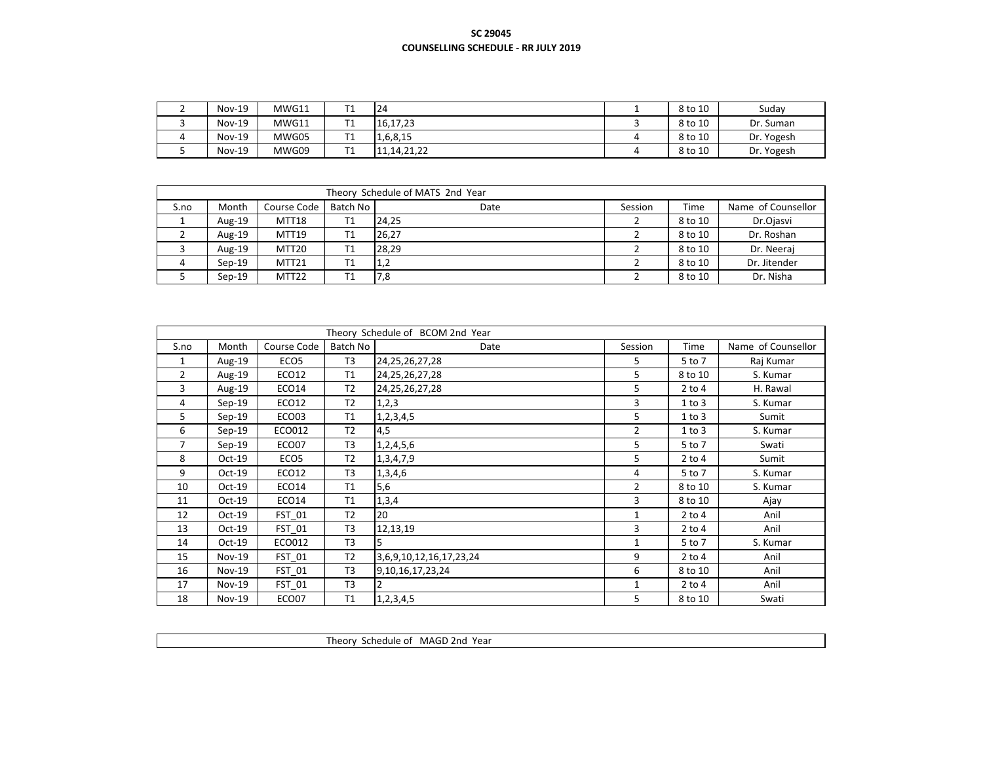| <b>Nov-19</b> | MWG11 |           | 24             | 8 to 10 | Suday      |
|---------------|-------|-----------|----------------|---------|------------|
| $Nov-19$      | MWG11 | . .       | 16,17,23       | 8 to 10 | Dr. Suman  |
| $Nov-19$      | MWG05 | ÷.<br>. . | 1,6,8,15       | 8 to 10 | Dr. Yogesh |
| $Nov-19$      | MWG09 | . .       | 11, 14, 21, 22 | 8 to 10 | Dr. Yogesh |

|      | Theory Schedule of MATS 2nd Year |                   |          |       |         |         |                    |  |  |  |  |
|------|----------------------------------|-------------------|----------|-------|---------|---------|--------------------|--|--|--|--|
| S.no | Month                            | Course Code       | Batch No | Date  | Session | Time    | Name of Counsellor |  |  |  |  |
|      | Aug-19                           | MTT18             | T1       | 24.25 |         | 8 to 10 | Dr.Ojasvi          |  |  |  |  |
|      | Aug-19                           | MTT19             | Τ1       | 26.27 |         | 8 to 10 | Dr. Roshan         |  |  |  |  |
|      | Aug-19                           | MTT <sub>20</sub> | T1       | 28.29 |         | 8 to 10 | Dr. Neeraj         |  |  |  |  |
|      | $Sen-19$                         | MTT <sub>21</sub> | Τ1       | 1,2   |         | 8 to 10 | Dr. Jitender       |  |  |  |  |
|      | $Sen-19$                         | MTT <sub>22</sub> |          | 7,8   |         | 8 to 10 | Dr. Nisha          |  |  |  |  |

|                |               |                  |                | Theory Schedule of BCOM 2nd Year |                |             |                    |
|----------------|---------------|------------------|----------------|----------------------------------|----------------|-------------|--------------------|
| S.no           | Month         | Course Code      | Batch No       | Date                             | Session        | <b>Time</b> | Name of Counsellor |
| 1              | Aug-19        | ECO <sub>5</sub> | T <sub>3</sub> | 24, 25, 26, 27, 28               | 5              | 5 to 7      | Raj Kumar          |
| $\overline{2}$ | Aug-19        | ECO12            | T1             | 24, 25, 26, 27, 28               | 5              | 8 to 10     | S. Kumar           |
| 3              | Aug-19        | ECO14            | T <sub>2</sub> | 24, 25, 26, 27, 28               | 5              | $2$ to 4    | H. Rawal           |
| 4              | $Sep-19$      | ECO12            | T <sub>2</sub> | 1, 2, 3                          | 3              | 1 to 3      | S. Kumar           |
| 5              | $Sep-19$      | ECO03            | T1             | 1, 2, 3, 4, 5                    | 5              | 1 to 3      | Sumit              |
| 6              | $Sep-19$      | ECO012           | T <sub>2</sub> | 4,5                              | $\overline{2}$ | 1 to 3      | S. Kumar           |
| 7              | $Sep-19$      | ECO07            | T <sub>3</sub> | 1,2,4,5,6                        | 5              | 5 to 7      | Swati              |
| 8              | $Oct-19$      | ECO <sub>5</sub> | T <sub>2</sub> | 1,3,4,7,9                        | 5              | $2$ to $4$  | Sumit              |
| 9              | $Oct-19$      | ECO12            | T <sub>3</sub> | 1,3,4,6                          | 4              | 5 to 7      | S. Kumar           |
| 10             | $Oct-19$      | ECO14            | T1             | 5,6                              | $\overline{2}$ | 8 to 10     | S. Kumar           |
| 11             | $Oct-19$      | ECO14            | T1             | 1,3,4                            | 3              | 8 to 10     | Ajay               |
| 12             | $Oct-19$      | FST 01           | T <sub>2</sub> | 20                               | 1              | $2$ to 4    | Anil               |
| 13             | $Oct-19$      | FST 01           | T <sub>3</sub> | 12,13,19                         | 3              | $2$ to $4$  | Anil               |
| 14             | $Oct-19$      | ECO012           | T <sub>3</sub> | 5                                | 1              | 5 to 7      | S. Kumar           |
| 15             | $Nov-19$      | FST 01           | T <sub>2</sub> | 3,6,9,10,12,16,17,23,24          | 9              | $2$ to $4$  | Anil               |
| 16             | $Nov-19$      | FST_01           | T <sub>3</sub> | 9,10,16,17,23,24                 | 6              | 8 to 10     | Anil               |
| 17             | <b>Nov-19</b> | FST_01           | T <sub>3</sub> |                                  | 1              | $2$ to $4$  | Anil               |
| 18             | $Nov-19$      | ECO07            | T1             | 1, 2, 3, 4, 5                    | 5              | 8 to 10     | Swati              |

| Year<br>Theory<br>MA (<br>znd<br>ədule<br>ne<br>__ |  |
|----------------------------------------------------|--|
|                                                    |  |